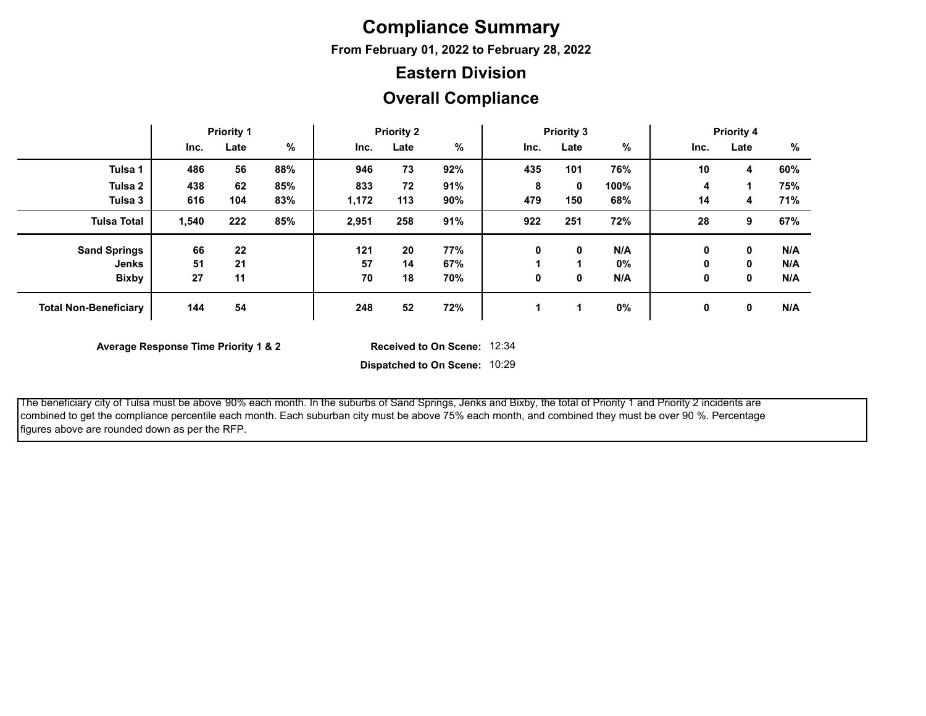## **Compliance Summary**

**From February 01, 2022 to February 28, 2022**

### **Eastern Division**

### **Overall Compliance**

|                              |       | <b>Priority 1</b> |     |       | <b>Priority 2</b> |     |      | <b>Priority 3</b> |      |      | <b>Priority 4</b> |     |
|------------------------------|-------|-------------------|-----|-------|-------------------|-----|------|-------------------|------|------|-------------------|-----|
|                              | Inc.  | Late              | %   | Inc.  | Late              | %   | Inc. | Late              | %    | Inc. | Late              | %   |
| Tulsa 1                      | 486   | 56                | 88% | 946   | 73                | 92% | 435  | 101               | 76%  | 10   | 4                 | 60% |
| Tulsa 2                      | 438   | 62                | 85% | 833   | 72                | 91% | 8    | 0                 | 100% | 4    |                   | 75% |
| Tulsa 3                      | 616   | 104               | 83% | 1,172 | 113               | 90% | 479  | 150               | 68%  | 14   | 4                 | 71% |
| <b>Tulsa Total</b>           | 1,540 | 222               | 85% | 2,951 | 258               | 91% | 922  | 251               | 72%  | 28   | 9                 | 67% |
| <b>Sand Springs</b>          | 66    | 22                |     | 121   | 20                | 77% | 0    | 0                 | N/A  | 0    | 0                 | N/A |
| Jenks                        | 51    | 21                |     | 57    | 14                | 67% |      |                   | 0%   | 0    | 0                 | N/A |
| <b>Bixby</b>                 | 27    | 11                |     | 70    | 18                | 70% | 0    | 0                 | N/A  | 0    | 0                 | N/A |
| <b>Total Non-Beneficiary</b> | 144   | 54                |     | 248   | 52                | 72% |      |                   | 0%   | 0    | 0                 | N/A |

**Average Response Time Priority 1 & 2** 

Received to On Scene: 12:34

**Dispatched to On Scene:** 10:29

 The beneficiary city of Tulsa must be above 90% each month. In the suburbs of Sand Springs, Jenks and Bixby, the total of Priority 1 and Priority 2 incidents are combined to get the compliance percentile each month. Each suburban city must be above 75% each month, and combined they must be over 90 %. Percentage figures above are rounded down as per the RFP.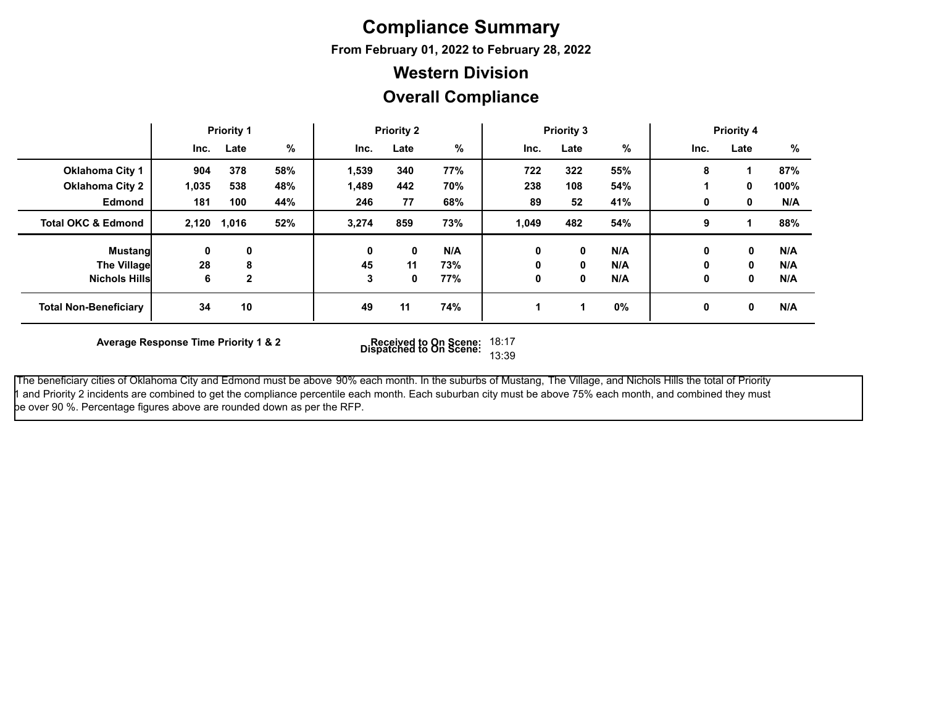## **Compliance Summary**

**From February 01, 2022 to February 28, 2022**

### **Western Division**

### **Overall Compliance**

|                               |       | <b>Priority 1</b> |     |       | <b>Priority 2</b> |     |       | <b>Priority 3</b> |               |      | <b>Priority 4</b> |      |
|-------------------------------|-------|-------------------|-----|-------|-------------------|-----|-------|-------------------|---------------|------|-------------------|------|
|                               | Inc.  | Late              | %   | Inc.  | Late              | %   | Inc.  | Late              | $\frac{9}{6}$ | Inc. | Late              | %    |
| <b>Oklahoma City 1</b>        | 904   | 378               | 58% | 1,539 | 340               | 77% | 722   | 322               | 55%           | 8    |                   | 87%  |
| <b>Oklahoma City 2</b>        | 1,035 | 538               | 48% | 1,489 | 442               | 70% | 238   | 108               | 54%           |      | 0                 | 100% |
| <b>Edmond</b>                 | 181   | 100               | 44% | 246   | 77                | 68% | 89    | 52                | 41%           | 0    | 0                 | N/A  |
| <b>Total OKC &amp; Edmond</b> | 2,120 | 1,016             | 52% | 3,274 | 859               | 73% | 1,049 | 482               | 54%           | 9    |                   | 88%  |
| <b>Mustangl</b>               | 0     | 0                 |     | 0     | 0                 | N/A | 0     | 0                 | N/A           | 0    | 0                 | N/A  |
| <b>The Village</b>            | 28    | 8                 |     | 45    | 11                | 73% | 0     | 0                 | N/A           | 0    | 0                 | N/A  |
| <b>Nichols Hills</b>          | 6     | $\mathbf 2$       |     |       | 0                 | 77% | 0     | 0                 | N/A           | 0    | 0                 | N/A  |
| <b>Total Non-Beneficiary</b>  | 34    | 10                |     | 49    | 11                | 74% |       |                   | $0\%$         | 0    | 0                 | N/A  |

**Average Response Time Priority 1 & 2 Received to On Scene: Dispatched to On Scene:** 18:17 13:39

 The beneficiary cities of Oklahoma City and Edmond must be above 90% each month. In the suburbs of Mustang, The Village, and Nichols Hills the total of Priority 1 and Priority 2 incidents are combined to get the compliance percentile each month. Each suburban city must be above 75% each month, and combined they must be over 90 %. Percentage figures above are rounded down as per the RFP.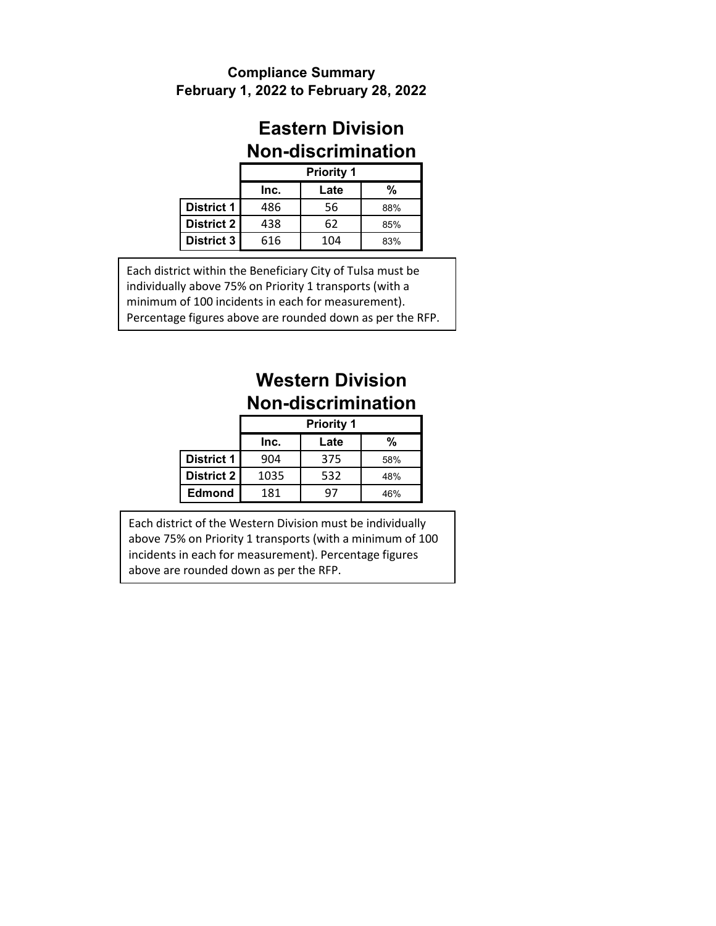#### **February 1, 2022 to February 28, 2022 Compliance Summary**

### **Eastern Division Non-discrimination**

|                   |      | <b>Priority 1</b> |     |
|-------------------|------|-------------------|-----|
|                   | Inc. | Late              | %   |
| <b>District 1</b> | 486  | 56                | 88% |
| District 2        | 438  | 62                | 85% |
| <b>District 3</b> | 616  | 104               | 83% |

Each district within the Beneficiary City of Tulsa must be individually above 75% on Priority 1 transports (with a minimum of 100 incidents in each for measurement). Percentage figures above are rounded down as per the RFP.

# **Western Division Non-discrimination**

|                   |      | <b>Priority 1</b> |     |
|-------------------|------|-------------------|-----|
|                   | Inc. | Late              | %   |
| <b>District 1</b> | 904  | 375               | 58% |
| <b>District 2</b> | 1035 | 532               | 48% |
| <b>Edmond</b>     | 181  | $Q_{\ell}$        | 46% |

Each district of the Western Division must be individually above 75% on Priority 1 transports (with a minimum of 100 incidents in each for measurement). Percentage figures above are rounded down as per the RFP.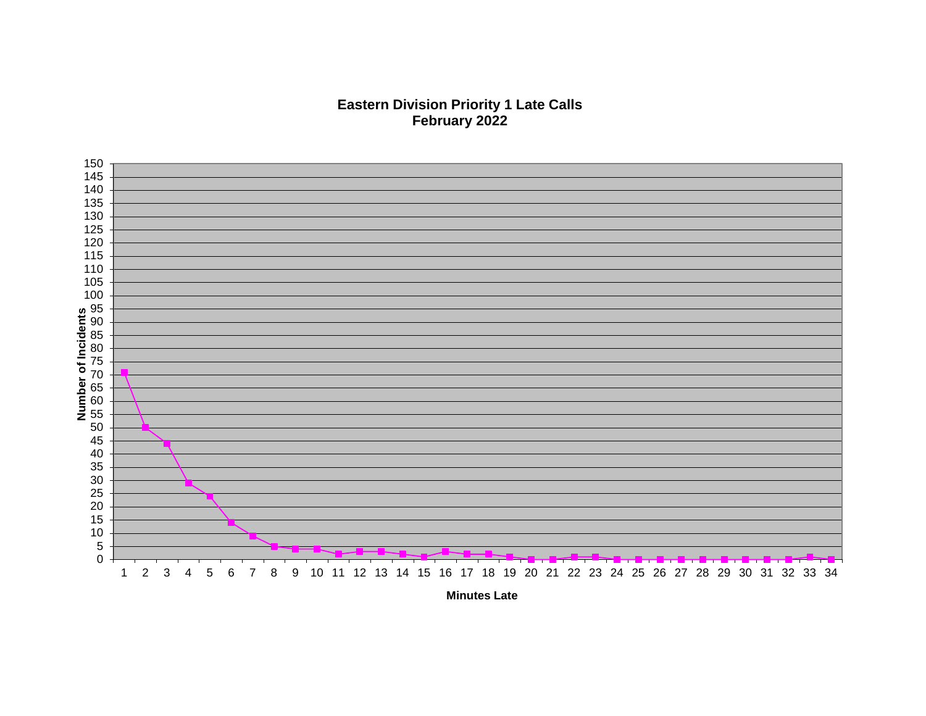### **Eastern Division Priority 1 Late Calls February 2022**



**Minutes Late**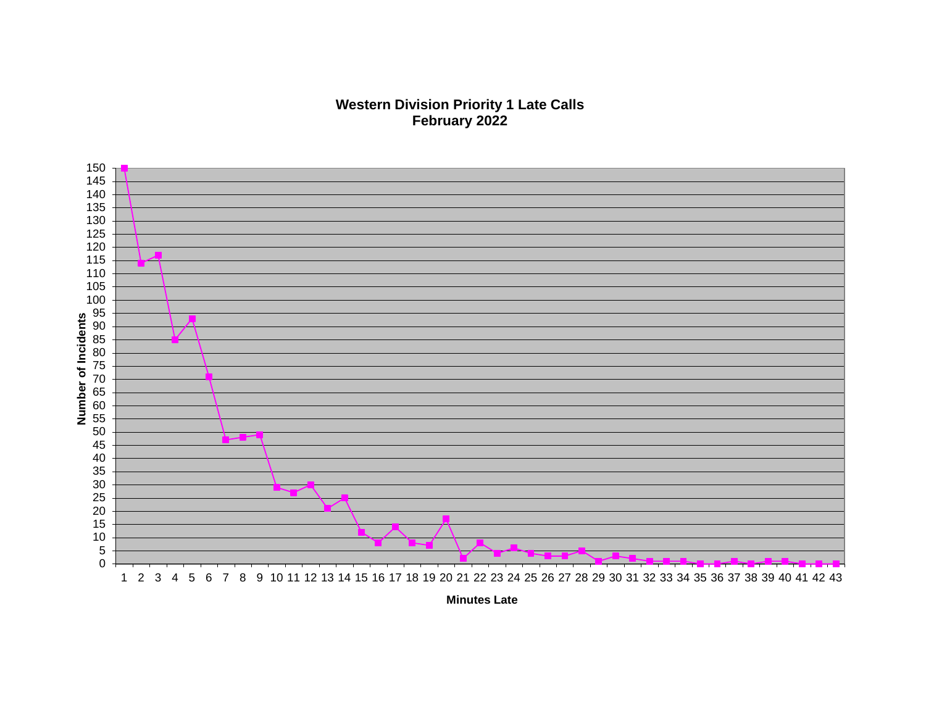#### **Western Division Priority 1 Late Calls February 2022**



**Minutes Late**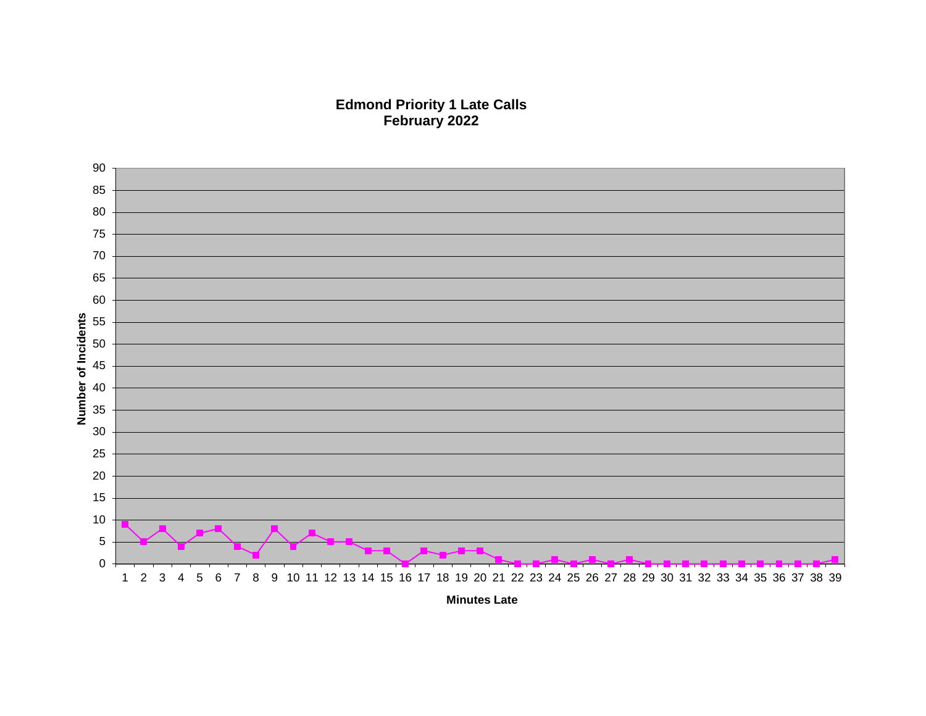**Edmond Priority 1 Late Calls February 2022**



**Minutes Late**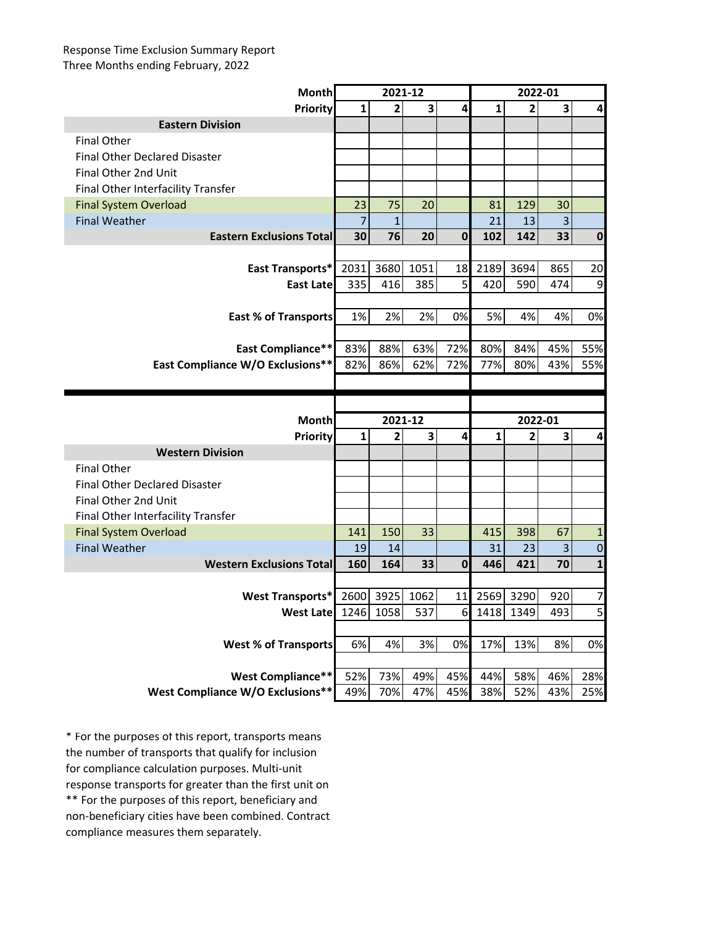#### Response Time Exclusion Summary Report Three Months ending February, 2022

| <b>Month</b>                            |                | 2021-12        |                         |              |      | 2022-01        |                |              |
|-----------------------------------------|----------------|----------------|-------------------------|--------------|------|----------------|----------------|--------------|
| <b>Priority</b>                         | 1              | $\overline{2}$ | 3                       | 4            | 1    | $\overline{2}$ | 3              | 4            |
| <b>Eastern Division</b>                 |                |                |                         |              |      |                |                |              |
| <b>Final Other</b>                      |                |                |                         |              |      |                |                |              |
| <b>Final Other Declared Disaster</b>    |                |                |                         |              |      |                |                |              |
| Final Other 2nd Unit                    |                |                |                         |              |      |                |                |              |
| Final Other Interfacility Transfer      |                |                |                         |              |      |                |                |              |
| <b>Final System Overload</b>            | 23             | 75             | 20                      |              | 81   | 129            | 30             |              |
| <b>Final Weather</b>                    | $\overline{7}$ | 1              |                         |              | 21   | 13             | $\overline{3}$ |              |
| <b>Eastern Exclusions Total</b>         | 30             | 76             | 20                      | 0            | 102  | 142            | 33             | $\pmb{0}$    |
|                                         |                |                |                         |              |      |                |                |              |
| <b>East Transports*</b>                 | 2031           | 3680           | 1051                    | 18           | 2189 | 3694           | 865            | 20           |
| East Late                               | 335            | 416            | 385                     | 5            | 420  | 590            | 474            | 9            |
|                                         |                |                |                         |              |      |                |                |              |
| <b>East % of Transports</b>             | 1%             | 2%             | 2%                      | 0%           | 5%   | 4%             | 4%             | 0%           |
|                                         |                |                |                         |              |      |                |                |              |
| East Compliance**                       | 83%            | 88%            | 63%                     | 72%          | 80%  | 84%            | 45%            | 55%          |
| <b>East Compliance W/O Exclusions**</b> | 82%            | 86%            | 62%                     | 72%          | 77%  | 80%            | 43%            | 55%          |
|                                         |                |                |                         |              |      |                |                |              |
|                                         |                |                |                         |              |      |                |                |              |
|                                         |                |                |                         |              |      |                |                |              |
| <b>Month</b>                            |                | 2021-12        |                         |              |      | 2022-01        |                |              |
| <b>Priority</b>                         | $\mathbf{1}$   | $\overline{2}$ | $\overline{\mathbf{3}}$ | 4            | 1    | $\mathbf{2}$   | 3              | 4            |
| <b>Western Division</b>                 |                |                |                         |              |      |                |                |              |
| <b>Final Other</b>                      |                |                |                         |              |      |                |                |              |
| <b>Final Other Declared Disaster</b>    |                |                |                         |              |      |                |                |              |
| Final Other 2nd Unit                    |                |                |                         |              |      |                |                |              |
| Final Other Interfacility Transfer      |                |                |                         |              |      |                |                |              |
| <b>Final System Overload</b>            | 141            | 150            | 33                      |              | 415  | 398            | 67             | $\mathbf{1}$ |
| <b>Final Weather</b>                    | 19             | 14             |                         |              | 31   | 23             | 3              | $\pmb{0}$    |
| <b>Western Exclusions Total</b>         | 160            | 164            | 33                      | $\mathbf{0}$ | 446  | 421            | 70             | $\mathbf 1$  |
|                                         |                |                |                         |              |      |                |                |              |
| <b>West Transports*</b>                 | 2600           | 3925           | 1062                    | 11           | 2569 | 3290           | 920            | 7            |
| West Late 1246                          |                | 1058           | 537                     | 6            | 1418 | 1349           | 493            |              |
|                                         |                |                |                         |              |      |                |                |              |
| <b>West % of Transports</b>             | 6%             | 4%             | 3%                      | 0%           | 17%  | 13%            | 8%             |              |
|                                         |                |                |                         |              |      |                |                | 5<br>0%      |
| <b>West Compliance**</b>                | 52%            | 73%            | 49%                     | 45%          | 44%  | 58%            | 46%            | 28%          |

\*\* For the purposes of this report, beneficiary and non-beneficiary cities have been combined. Contract compliance measures them separately. \* For the purposes of this report, transports means the number of transports that qualify for inclusion for compliance calculation purposes. Multi-unit response transports for greater than the first unit on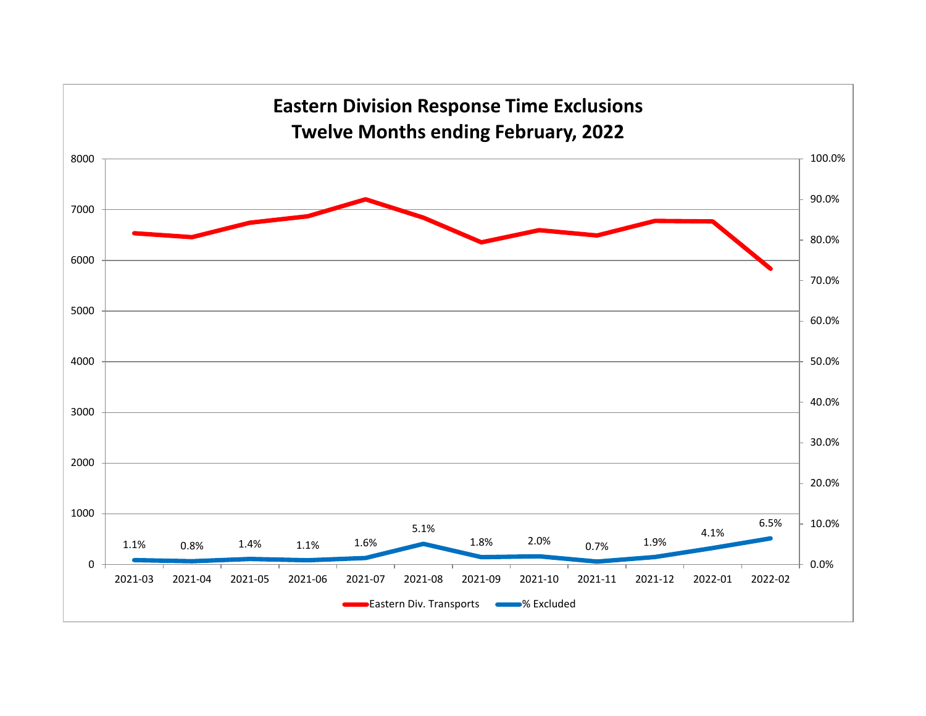